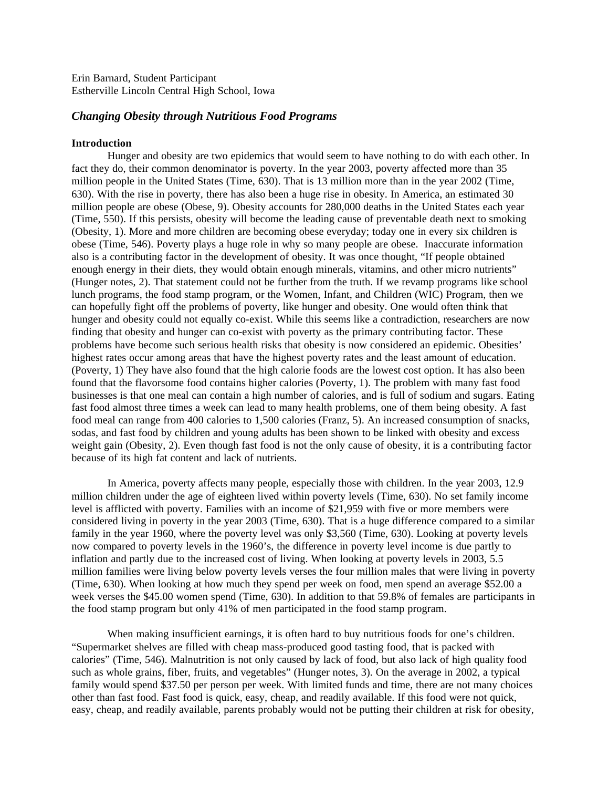Erin Barnard, Student Participant Estherville Lincoln Central High School, Iowa

## *Changing Obesity through Nutritious Food Programs*

## **Introduction**

Hunger and obesity are two epidemics that would seem to have nothing to do with each other. In fact they do, their common denominator is poverty. In the year 2003, poverty affected more than 35 million people in the United States (Time, 630). That is 13 million more than in the year 2002 (Time, 630). With the rise in poverty, there has also been a huge rise in obesity. In America, an estimated 30 million people are obese (Obese, 9). Obesity accounts for 280,000 deaths in the United States each year (Time, 550). If this persists, obesity will become the leading cause of preventable death next to smoking (Obesity, 1). More and more children are becoming obese everyday; today one in every six children is obese (Time, 546). Poverty plays a huge role in why so many people are obese. Inaccurate information also is a contributing factor in the development of obesity. It was once thought, "If people obtained enough energy in their diets, they would obtain enough minerals, vitamins, and other micro nutrients" (Hunger notes, 2). That statement could not be further from the truth. If we revamp programs like school lunch programs, the food stamp program, or the Women, Infant, and Children (WIC) Program, then we can hopefully fight off the problems of poverty, like hunger and obesity. One would often think that hunger and obesity could not equally co-exist. While this seems like a contradiction, researchers are now finding that obesity and hunger can co-exist with poverty as the primary contributing factor. These problems have become such serious health risks that obesity is now considered an epidemic. Obesities' highest rates occur among areas that have the highest poverty rates and the least amount of education. (Poverty, 1) They have also found that the high calorie foods are the lowest cost option. It has also been found that the flavorsome food contains higher calories (Poverty, 1). The problem with many fast food businesses is that one meal can contain a high number of calories, and is full of sodium and sugars. Eating fast food almost three times a week can lead to many health problems, one of them being obesity. A fast food meal can range from 400 calories to 1,500 calories (Franz, 5). An increased consumption of snacks, sodas, and fast food by children and young adults has been shown to be linked with obesity and excess weight gain (Obesity, 2). Even though fast food is not the only cause of obesity, it is a contributing factor because of its high fat content and lack of nutrients.

In America, poverty affects many people, especially those with children. In the year 2003, 12.9 million children under the age of eighteen lived within poverty levels (Time, 630). No set family income level is afflicted with poverty. Families with an income of \$21,959 with five or more members were considered living in poverty in the year 2003 (Time, 630). That is a huge difference compared to a similar family in the year 1960, where the poverty level was only \$3,560 (Time, 630). Looking at poverty levels now compared to poverty levels in the 1960's, the difference in poverty level income is due partly to inflation and partly due to the increased cost of living. When looking at poverty levels in 2003, 5.5 million families were living below poverty levels verses the four million males that were living in poverty (Time, 630). When looking at how much they spend per week on food, men spend an average \$52.00 a week verses the \$45.00 women spend (Time, 630). In addition to that 59.8% of females are participants in the food stamp program but only 41% of men participated in the food stamp program.

When making insufficient earnings, it is often hard to buy nutritious foods for one's children. "Supermarket shelves are filled with cheap mass-produced good tasting food, that is packed with calories" (Time, 546). Malnutrition is not only caused by lack of food, but also lack of high quality food such as whole grains, fiber, fruits, and vegetables" (Hunger notes, 3). On the average in 2002, a typical family would spend \$37.50 per person per week. With limited funds and time, there are not many choices other than fast food. Fast food is quick, easy, cheap, and readily available. If this food were not quick, easy, cheap, and readily available, parents probably would not be putting their children at risk for obesity,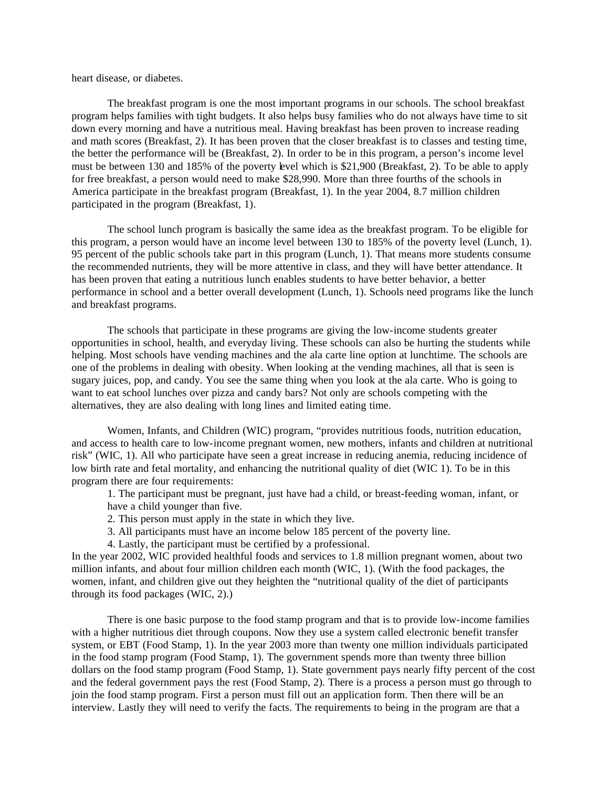heart disease, or diabetes.

The breakfast program is one the most important programs in our schools. The school breakfast program helps families with tight budgets. It also helps busy families who do not always have time to sit down every morning and have a nutritious meal. Having breakfast has been proven to increase reading and math scores (Breakfast, 2). It has been proven that the closer breakfast is to classes and testing time, the better the performance will be (Breakfast, 2). In order to be in this program, a person's income level must be between 130 and 185% of the poverty level which is \$21,900 (Breakfast, 2). To be able to apply for free breakfast, a person would need to make \$28,990. More than three fourths of the schools in America participate in the breakfast program (Breakfast, 1). In the year 2004, 8.7 million children participated in the program (Breakfast, 1).

The school lunch program is basically the same idea as the breakfast program. To be eligible for this program, a person would have an income level between 130 to 185% of the poverty level (Lunch, 1). 95 percent of the public schools take part in this program (Lunch, 1). That means more students consume the recommended nutrients, they will be more attentive in class, and they will have better attendance. It has been proven that eating a nutritious lunch enables students to have better behavior, a better performance in school and a better overall development (Lunch, 1). Schools need programs like the lunch and breakfast programs.

The schools that participate in these programs are giving the low-income students greater opportunities in school, health, and everyday living. These schools can also be hurting the students while helping. Most schools have vending machines and the ala carte line option at lunchtime. The schools are one of the problems in dealing with obesity. When looking at the vending machines, all that is seen is sugary juices, pop, and candy. You see the same thing when you look at the ala carte. Who is going to want to eat school lunches over pizza and candy bars? Not only are schools competing with the alternatives, they are also dealing with long lines and limited eating time.

Women, Infants, and Children (WIC) program, "provides nutritious foods, nutrition education, and access to health care to low-income pregnant women, new mothers, infants and children at nutritional risk" (WIC, 1). All who participate have seen a great increase in reducing anemia, reducing incidence of low birth rate and fetal mortality, and enhancing the nutritional quality of diet (WIC 1). To be in this program there are four requirements:

1. The participant must be pregnant, just have had a child, or breast-feeding woman, infant, or have a child younger than five.

- 2. This person must apply in the state in which they live.
- 3. All participants must have an income below 185 percent of the poverty line.
- 4. Lastly, the participant must be certified by a professional.

In the year 2002, WIC provided healthful foods and services to 1.8 million pregnant women, about two million infants, and about four million children each month (WIC, 1). (With the food packages, the women, infant, and children give out they heighten the "nutritional quality of the diet of participants through its food packages (WIC, 2).)

There is one basic purpose to the food stamp program and that is to provide low-income families with a higher nutritious diet through coupons. Now they use a system called electronic benefit transfer system, or EBT (Food Stamp, 1). In the year 2003 more than twenty one million individuals participated in the food stamp program (Food Stamp, 1). The government spends more than twenty three billion dollars on the food stamp program (Food Stamp, 1). State government pays nearly fifty percent of the cost and the federal government pays the rest (Food Stamp, 2). There is a process a person must go through to join the food stamp program. First a person must fill out an application form. Then there will be an interview. Lastly they will need to verify the facts. The requirements to being in the program are that a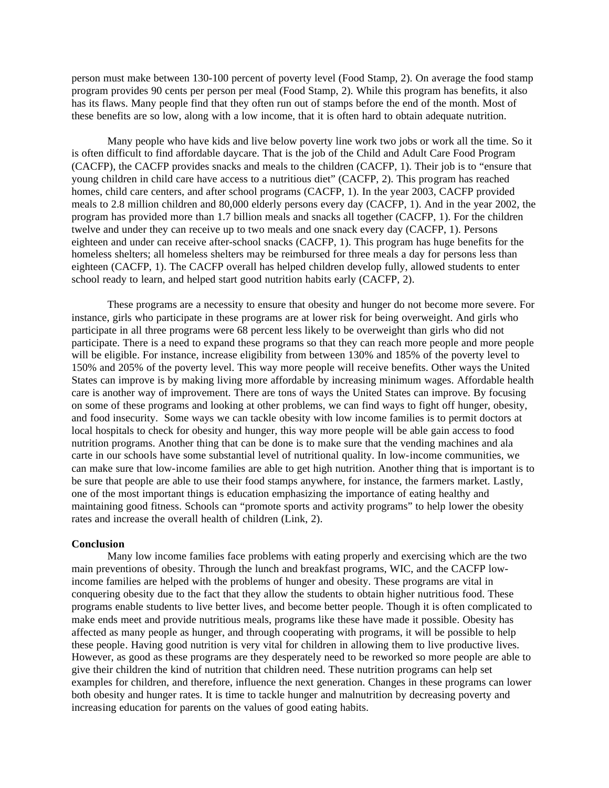person must make between 130-100 percent of poverty level (Food Stamp, 2). On average the food stamp program provides 90 cents per person per meal (Food Stamp, 2). While this program has benefits, it also has its flaws. Many people find that they often run out of stamps before the end of the month. Most of these benefits are so low, along with a low income, that it is often hard to obtain adequate nutrition.

Many people who have kids and live below poverty line work two jobs or work all the time. So it is often difficult to find affordable daycare. That is the job of the Child and Adult Care Food Program (CACFP), the CACFP provides snacks and meals to the children (CACFP, 1). Their job is to "ensure that young children in child care have access to a nutritious diet" (CACFP, 2). This program has reached homes, child care centers, and after school programs (CACFP, 1). In the year 2003, CACFP provided meals to 2.8 million children and 80,000 elderly persons every day (CACFP, 1). And in the year 2002, the program has provided more than 1.7 billion meals and snacks all together (CACFP, 1). For the children twelve and under they can receive up to two meals and one snack every day (CACFP, 1). Persons eighteen and under can receive after-school snacks (CACFP, 1). This program has huge benefits for the homeless shelters; all homeless shelters may be reimbursed for three meals a day for persons less than eighteen (CACFP, 1). The CACFP overall has helped children develop fully, allowed students to enter school ready to learn, and helped start good nutrition habits early (CACFP, 2).

These programs are a necessity to ensure that obesity and hunger do not become more severe. For instance, girls who participate in these programs are at lower risk for being overweight. And girls who participate in all three programs were 68 percent less likely to be overweight than girls who did not participate. There is a need to expand these programs so that they can reach more people and more people will be eligible. For instance, increase eligibility from between 130% and 185% of the poverty level to 150% and 205% of the poverty level. This way more people will receive benefits. Other ways the United States can improve is by making living more affordable by increasing minimum wages. Affordable health care is another way of improvement. There are tons of ways the United States can improve. By focusing on some of these programs and looking at other problems, we can find ways to fight off hunger, obesity, and food insecurity. Some ways we can tackle obesity with low income families is to permit doctors at local hospitals to check for obesity and hunger, this way more people will be able gain access to food nutrition programs. Another thing that can be done is to make sure that the vending machines and ala carte in our schools have some substantial level of nutritional quality. In low-income communities, we can make sure that low-income families are able to get high nutrition. Another thing that is important is to be sure that people are able to use their food stamps anywhere, for instance, the farmers market. Lastly, one of the most important things is education emphasizing the importance of eating healthy and maintaining good fitness. Schools can "promote sports and activity programs" to help lower the obesity rates and increase the overall health of children (Link, 2).

## **Conclusion**

Many low income families face problems with eating properly and exercising which are the two main preventions of obesity. Through the lunch and breakfast programs, WIC, and the CACFP lowincome families are helped with the problems of hunger and obesity. These programs are vital in conquering obesity due to the fact that they allow the students to obtain higher nutritious food. These programs enable students to live better lives, and become better people. Though it is often complicated to make ends meet and provide nutritious meals, programs like these have made it possible. Obesity has affected as many people as hunger, and through cooperating with programs, it will be possible to help these people. Having good nutrition is very vital for children in allowing them to live productive lives. However, as good as these programs are they desperately need to be reworked so more people are able to give their children the kind of nutrition that children need. These nutrition programs can help set examples for children, and therefore, influence the next generation. Changes in these programs can lower both obesity and hunger rates. It is time to tackle hunger and malnutrition by decreasing poverty and increasing education for parents on the values of good eating habits.